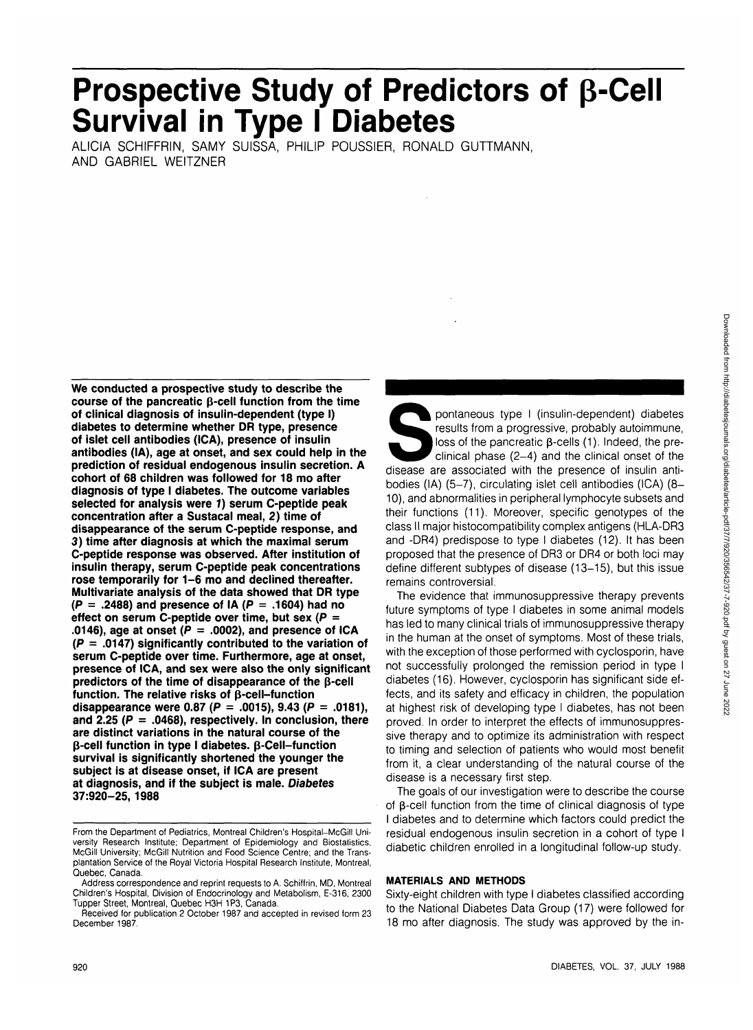Downloaded from http://diabetesjournals.org/diabetes/article-pdf/37/7/920/356542/37-7-920.pdf by guest on 27 June 2022 Downloaded from http://diabetesjournals.org/diabetes/article-pdf/37/7/920/356542/37-7-920.pdf by guest on 27 June 2022

# Prospective Study of Predictors of **β-Cell Survival in Type I Diabetes**

ALICIA SCHIFFRIN, SAMY SUISSA, PHILIP POUSSIER, RONALD GUTTMANN, AND GABRIEL WEITZNER

**We conducted a prospective study to describe the course of the pancreatic (J-cell function from the time of clinical diagnosis of insulin-dependent (type I) diabetes to determine whether DR type, presence of islet cell antibodies (ICA), presence of insulin antibodies (IA), age at onset, and sex could help in the prediction of residual endogenous insulin secretion. A cohort of 68 children was followed for 18 mo after diagnosis of type I diabetes. The outcome variables selected for analysis were 1) serum C-peptide peak concentration after a Sustacal meal, 2) time of disappearance of the serum C-peptide response, and 3) time after diagnosis at which the maximal serum C-peptide response was observed. After institution of insulin therapy, serum C-peptide peak concentrations rose temporarily for 1-6 mo and declined thereafter. Multivariate analysis of the data showed that DR type (P = .2488) and presence of IA (P = .1604) had no effect on serum C-peptide over time, but sex (P =** .0146), age at onset  $(P = .0002)$ , and presence of ICA **(P = .0147) significantly contributed to the variation of serum C-peptide over time. Furthermore, age at onset, presence of ICA, and sex were also the only significant predictors of the time of disappearance of the p-cell function. The relative risks of (5-cell-function disappearance were 0.87 (P = .0015), 9.43 (P = .0181), and 2.25 (P = .0468), respectively. In conclusion, there are distinct variations in the natural course of the p-cell function in type I diabetes. p-Cell-function survival is significantly shortened the younger the subject is at disease onset, if ICA are present at diagnosis, and if the subject is male. Diabetes 37:920-25, 1988**

pontaneous type I (insulin-dependent) diabetes<br>results from a progressive, probably autoimmune,<br>loss of the pancreatic  $\beta$ -cells (1). Indeed, the pre-<br>clinical phase (2-4) and the clinical onset of the<br>disease are associ results from a progressive, probably autoimmune, loss of the pancreatic  $\beta$ -cells (1). Indeed, the preclinical phase (2-4) and the clinical onset of the bodies (IA) (5-7), circulating islet cell antibodies (ICA) (8-10), and abnormalities in peripheral lymphocyte subsets and their functions (11). Moreover, specific genotypes of the class II major histocompatibility complex antigens (HLA-DR3 and -DR4) predispose to type I diabetes (12). It has been proposed that the presence of DR3 or DR4 or both loci may define different subtypes of disease (13-15), but this issue remains controversial.

The evidence that immunosuppressive therapy prevents future symptoms of type I diabetes in some animal models has led to many clinical trials of immunosuppressive therapy in the human at the onset of symptoms. Most of these trials, with the exception of those performed with cyclosporin, have not successfully prolonged the remission period in type I diabetes (16). However, cyclosporin has significant side effects, and its safety and efficacy in children, the population at highest risk of developing type I diabetes, has not been proved. In order to interpret the effects of immunosuppressive therapy and to optimize its administration with respect to timing and selection of patients who would most benefit from it, a clear understanding of the natural course of the disease is a necessary first step.

The goals of our investigation were to describe the course of  $\beta$ -cell function from the time of clinical diagnosis of type I diabetes and to determine which factors could predict the residual endogenous insulin secretion in a cohort of type I diabetic children enrolled in a longitudinal follow-up study.

## **MATERIALS AND METHODS**

Sixty-eight children with type I diabetes classified according to the National Diabetes Data Group (17) were followed for 18 mo after diagnosis. The study was approved by the in-

From the Department of Pediatrics, Montreal Children's Hospital—McGill University Research Institute; Department of Epidemiology and Biostatistics, McGill University; McGill Nutrition and Food Science Centre; and the Transplantation Service of the Royal Victoria Hospital Research Institute, Montreal, Quebec, Canada.

Address correspondence and reprint requests to A. Schiffrin, MD, Montreal Children's Hospital, Division of Endocrinology and Metabolism, E-316, 2300 Tupper Street, Montreal, Quebec H3H 1P3, Canada.

Received for publication 2 October 1987 and accepted in revised form 23 December 1987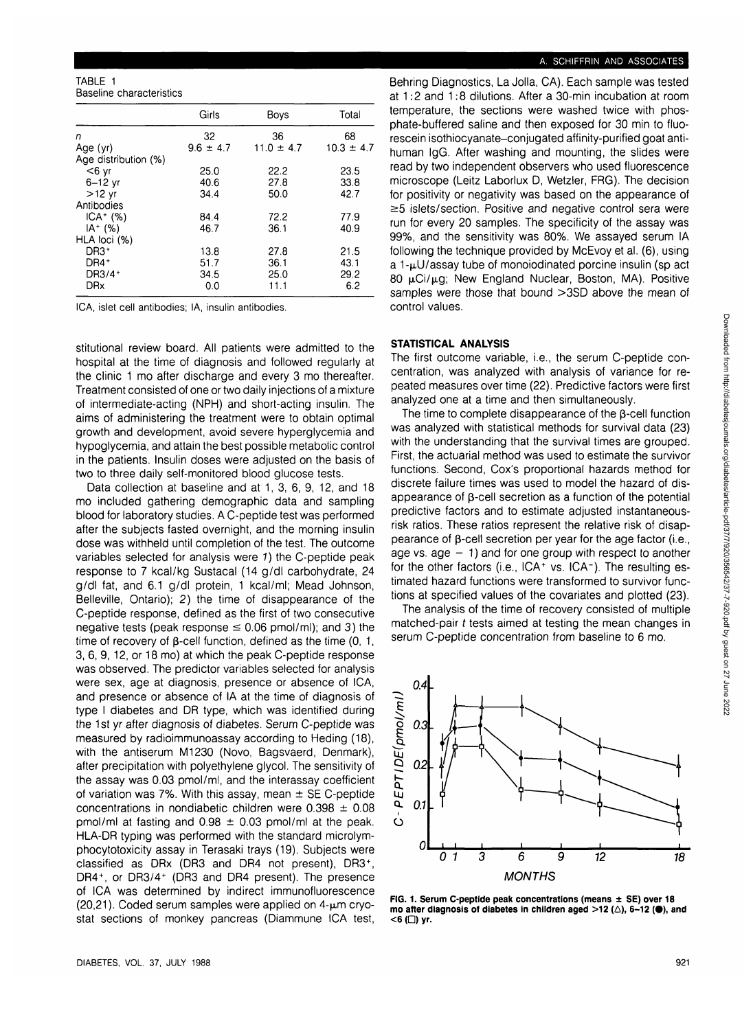TABLE 1 Baseline characteristics

|                      | Girls         | Boys           | Total          |
|----------------------|---------------|----------------|----------------|
| n                    | 32            | 36             | 68             |
| Age (yr)             | $9.6 \pm 4.7$ | $11.0 \pm 4.7$ | $10.3 \pm 4.7$ |
| Age distribution (%) |               |                |                |
| $<$ 6 yr             | 25.0          | 22.2           | 23.5           |
| $6-12$ yr            | 40.6          | 27.8           | 33.8           |
| $>12$ yr             | 34.4          | 50.0           | 42.7           |
| Antibodies           |               |                |                |
| $ICA + (\%)$         | 84.4          | 72.2           | 77.9           |
| $IA + (%)$           | 46.7          | 36.1           | 40.9           |
| HLA loci (%)         |               |                |                |
| DR3 <sup>+</sup>     | 13.8          | 27.8           | 21.5           |
| DR4 <sup>+</sup>     | 51.7          | 36.1           | 43.1           |
| DR3/4+               | 34.5          | 25.0           | 29.2           |
| <b>DRx</b>           | 0.0           | 11.1           | 6.2            |
|                      |               |                |                |

ICA, islet cell antibodies; IA, insulin antibodies.

stitutional review board. All patients were admitted to the hospital at the time of diagnosis and followed regularly at the clinic 1 mo after discharge and every 3 mo thereafter. Treatment consisted of one or two daily injections of a mixture of intermediate-acting (NPH) and short-acting insulin. The aims of administering the treatment were to obtain optimal growth and development, avoid severe hyperglycemia and hypoglycemia, and attain the best possible metabolic control in the patients. Insulin doses were adjusted on the basis of two to three daily self-monitored blood glucose tests.

Data collection at baseline and at 1, 3, 6, 9, 12, and 18 mo included gathering demographic data and sampling blood for laboratory studies. A C-peptide test was performed after the subjects fasted overnight, and the morning insulin dose was withheld until completion of the test. The outcome variables selected for analysis were 1) the C-peptide peak response to 7 kcal/kg Sustacal (14 g/dl carbohydrate, 24 g/dl fat, and 6.1 g/dl protein, 1 kcal/ml; Mead Johnson, Belleville, Ontario); 2) the time of disappearance of the C-peptide response, defined as the first of two consecutive negative tests (peak response  $\leq$  0.06 pmol/ml); and 3) the time of recovery of  $\beta$ -cell function, defined as the time (0, 1, 3, 6, 9, 12, or 18 mo) at which the peak C-peptide response was observed. The predictor variables selected for analysis were sex, age at diagnosis, presence or absence of ICA, and presence or absence of IA at the time of diagnosis of type I diabetes and DR type, which was identified during the 1st yr after diagnosis of diabetes. Serum C-peptide was measured by radioimmunoassay according to Heding (18), with the antiserum M1230 (Novo, Bagsvaerd, Denmark), after precipitation with polyethylene glycol. The sensitivity of the assay was 0.03 pmol/ml, and the interassay coefficient of variation was 7%. With this assay, mean  $\pm$  SE C-peptide concentrations in nondiabetic children were  $0.398 \pm 0.08$ pmol/ml at fasting and  $0.98 \pm 0.03$  pmol/ml at the peak. HLA-DR typing was performed with the standard microlymphocytotoxicity assay in Terasaki trays (19). Subjects were classified as DRx (DR3 and DR4 not present), DR3<sup>+</sup> , DR4<sup>+</sup>, or DR3/4<sup>+</sup> (DR3 and DR4 present). The presence of ICA was determined by indirect immunofluorescence (20,21). Coded serum samples were applied on  $4-\mu m$  cryostat sections of monkey pancreas (Diammune ICA test,

## A. SCHIFFRIN AND ASSOCIATES

Behring Diagnostics, La Jolla, CA). Each sample was tested at 1:2 and 1:8 dilutions. After a 30-min incubation at room temperature, the sections were washed twice with phosphate-buffered saline and then exposed for 30 min to fluorescein isothiocyanate-conjugated affinity-purified goat antihuman IgG. After washing and mounting, the slides were read by two independent observers who used fluorescence microscope (Leitz Laborlux D, Wetzler, FRG). The decision for positivity or negativity was based on the appearance of  $\geq$ 5 islets/section. Positive and negative control sera were run for every 20 samples. The specificity of the assay was 99%, and the sensitivity was 80%. We assayed serum IA following the technique provided by McEvoy et al. (6), using a 1-µU/assay tube of monoiodinated porcine insulin (sp act 80 µCi/µg; New England Nuclear, Boston, MA). Positive samples were those that bound >3SD above the mean of control values.

#### **STATISTICAL ANALYSIS**

The first outcome variable, i.e., the serum C-peptide concentration, was analyzed with analysis of variance for repeated measures over time (22). Predictive factors were first analyzed one at a time and then simultaneously.

The time to complete disappearance of the  $\beta$ -cell function was analyzed with statistical methods for survival data (23) with the understanding that the survival times are grouped. First, the actuarial method was used to estimate the survivor functions. Second, Cox's proportional hazards method for discrete failure times was used to model the hazard of disappearance of  $\beta$ -cell secretion as a function of the potential predictive factors and to estimate adjusted instantaneousrisk ratios. These ratios represent the relative risk of disappearance of  $\beta$ -cell secretion per year for the age factor (i.e., age vs. age  $-1$ ) and for one group with respect to another for the other factors (i.e., ICA+ vs. ICA-). The resulting estimated hazard functions were transformed to survivor functions at specified values of the covariates and plotted (23).

The analysis of the time of recovery consisted of multiple matched-pair t tests aimed at testing the mean changes in serum C-peptide concentration from baseline to 6 mo.



**FIG. 1. Serum C-peptide peak concentrations (means ± SE) over 18 mo after diagnosis of diabetes in children aged**  $>12$  **(** $\triangle$ **), 6-12 (** $\bullet$ **), and** <6 (□) yr.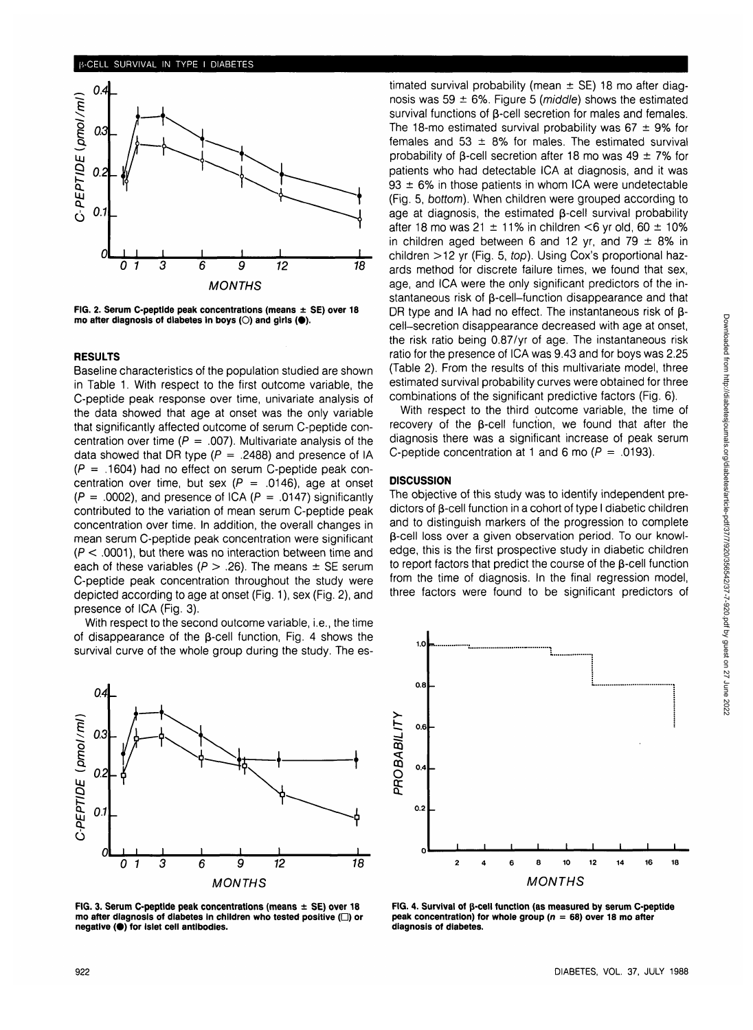

**FIG. 2. Serum C-peptide peak concentrations (means ± SE) over 18** mo after diagnosis of diabetes in boys (O) and girls (<sup>•</sup>).

#### **RESULTS**

Baseline characteristics of the population studied are shown in Table 1. With respect to the first outcome variable, the C-peptide peak response over time, univariate analysis of the data showed that age at onset was the only variable that significantly affected outcome of serum C-peptide concentration over time ( $P = .007$ ). Multivariate analysis of the data showed that DR type ( $P = .2488$ ) and presence of IA  $(P = .1604)$  had no effect on serum C-peptide peak concentration over time, but sex ( $P = .0146$ ), age at onset  $(P = .0002)$ , and presence of ICA  $(P = .0147)$  significantly contributed to the variation of mean serum C-peptide peak concentration over time. In addition, the overall changes in mean serum C-peptide peak concentration were significant  $(P < .0001)$ , but there was no interaction between time and each of these variables ( $P > .26$ ). The means  $\pm$  SE serum C-peptide peak concentration throughout the study were depicted according to age at onset (Fig. 1), sex (Fig. 2), and presence of ICA (Fig. 3).

With respect to the second outcome variable, i.e., the time of disappearance of the  $\beta$ -cell function, Fig. 4 shows the survival curve of the whole group during the study. The es-



**FIG. 3. Serum C-peptide peak concentrations (means ± SE) over 18 mo after diagnosis of diabetes in children who tested positive (D) or negative (•) for islet cell antibodies.**

timated survival probability (mean  $\pm$  SE) 18 mo after diagnosis was 59  $\pm$  6%. Figure 5 (*middle*) shows the estimated survival functions of  $\beta$ -cell secretion for males and females. The 18-mo estimated survival probability was  $67 \pm 9\%$  for females and 53  $\pm$  8% for males. The estimated survival probability of  $\beta$ -cell secretion after 18 mo was 49  $\pm$  7% for patients who had detectable ICA at diagnosis, and it was  $93 \pm 6\%$  in those patients in whom ICA were undetectable (Fig. 5, bottom). When children were grouped according to age at diagnosis, the estimated  $\beta$ -cell survival probability after 18 mo was 21  $\pm$  11% in children <6 yr old, 60  $\pm$  10% in children aged between 6 and 12 yr, and 79  $\pm$  8% in children >12 yr (Fig. 5, top). Using Cox's proportional hazards method for discrete failure times, we found that sex, age, and ICA were the only significant predictors of the instantaneous risk of β-cell–function disappearance and that DR type and IA had no effect. The instantaneous risk of  $\beta$ cell-secretion disappearance decreased with age at onset, the risk ratio being 0.87/yr of age. The instantaneous risk ratio for the presence of ICA was 9.43 and for boys was 2.25 (Table 2). From the results of this multivariate model, three estimated survival probability curves were obtained for three combinations of the significant predictive factors (Fig. 6).

With respect to the third outcome variable, the time of recovery of the  $\beta$ -cell function, we found that after the diagnosis there was a significant increase of peak serum C-peptide concentration at 1 and 6 mo ( $P = .0193$ ).

#### **DISCUSSION**

The objective of this study was to identify independent predictors of  $\beta$ -cell function in a cohort of type I diabetic children and to distinguish markers of the progression to complete p-cell loss over a given observation period. To our knowledge, this is the first prospective study in diabetic children to report factors that predict the course of the  $\beta$ -cell function from the time of diagnosis. In the final regression model, three factors were found to be significant predictors of



**FIG. 4. Survival of p-cell function (as measured by serum C-peptide peak concentration) for whole group (n = 68) over 18 mo after diagnosis of diabetes.**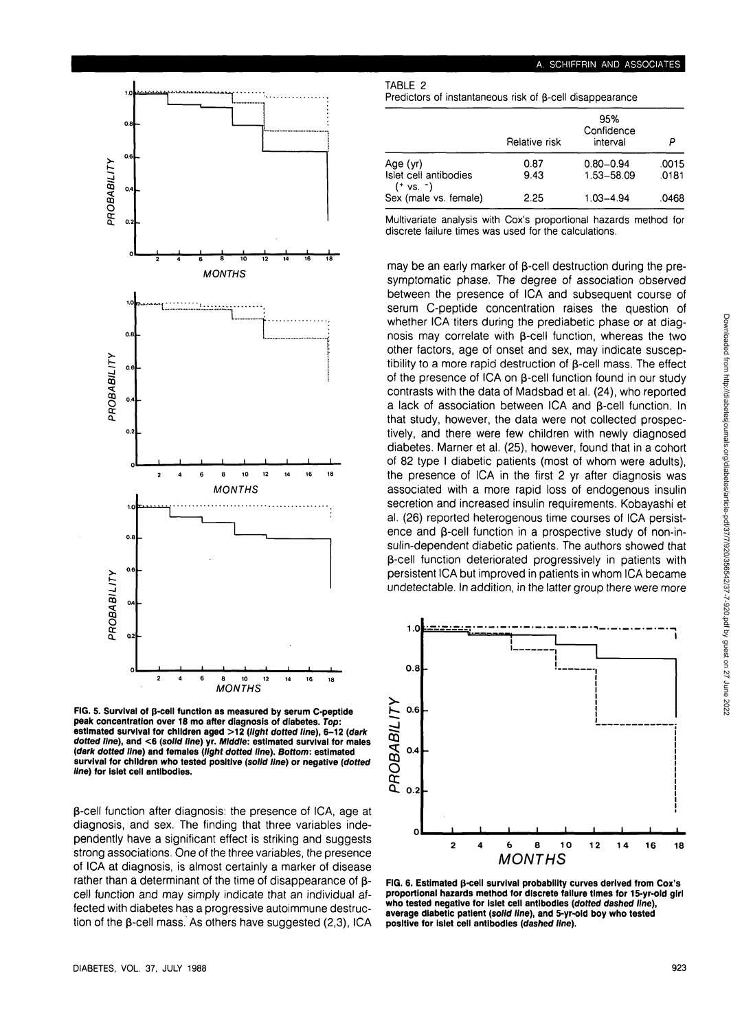

**FIG. 5. Survival of p-cell function as measured by serum C-peptide peak concentration over 18 mo after diagnosis of diabetes. Top: estimated survival for children aged >12 (light dotted line), 6-12 (dark dotted line), and <6 (solid line) yr. Middle: estimated survival for males {dark dotted line) and females (light dotted line). Bottom: estimated survival for children who tested positive (solid line) or negative (dotted line) for islet cell antibodies.**

 $\beta$ -cell function after diagnosis: the presence of ICA, age at diagnosis, and sex. The finding that three variables independently have a significant effect is striking and suggests strong associations. One of the three variables, the presence of ICA at diagnosis, is almost certainly a marker of disease rather than a determinant of the time of disappearance of  $\beta$ cell function and may simply indicate that an individual affected with diabetes has a progressive autoimmune destruction of the  $\beta$ -cell mass. As others have suggested (2,3), ICA

#### **A. SCHIFFRIN AND ASSOCIATES**

#### TABLE 2

Predictors of instantaneous risk of  $\beta$ -cell disappearance

|                                                  | Relative risk | 95%<br>Confidence<br>interval |                |
|--------------------------------------------------|---------------|-------------------------------|----------------|
| Age (yr)<br>Islet cell antibodies                | 0.87<br>9.43  | $0.80 - 0.94$<br>1.53-58.09   | .0015<br>.0181 |
| $(+ \text{ vs. } ^{-})$<br>Sex (male vs. female) | 2.25          | $1.03 - 4.94$                 | .0468          |

Multivariate analysis with Cox's proportional hazards method for discrete failure times was used for the calculations.

may be an early marker of  $\beta$ -cell destruction during the presymptomatic phase. The degree of association observed between the presence of ICA and subsequent course of serum C-peptide concentration raises the question of whether ICA titers during the prediabetic phase or at diagnosis may correlate with  $\beta$ -cell function, whereas the two other factors, age of onset and sex, may indicate susceptibility to a more rapid destruction of  $\beta$ -cell mass. The effect of the presence of ICA on  $\beta$ -cell function found in our study contrasts with the data of Madsbad et al. (24), who reported a lack of association between ICA and B-cell function. In that study, however, the data were not collected prospectively, and there were few children with newly diagnosed diabetes. Mamer et al. (25), however, found that in a cohort of 82 type I diabetic patients (most of whom were adults), the presence of ICA in the first 2 yr after diagnosis was associated with a more rapid loss of endogenous insulin secretion and increased insulin requirements. Kobayashi et al. (26) reported heterogenous time courses of ICA persistence and  $\beta$ -cell function in a prospective study of non-insulin-dependent diabetic patients. The authors showed that p-cell function deteriorated progressively in patients with persistent ICA but improved in patients in whom ICA became undetectable. In addition, in the latter group there were more



**FIG. 6. Estimated p-cell survival probability curves derived from Cox's proportional hazards method for discrete failure times for 15-yr-old girl who tested negative for islet cell antibodies (dotted dashed line), average diabetic patient (solid line), and 5-yr-old boy who tested positive for islet cell antibodies (dashed line).**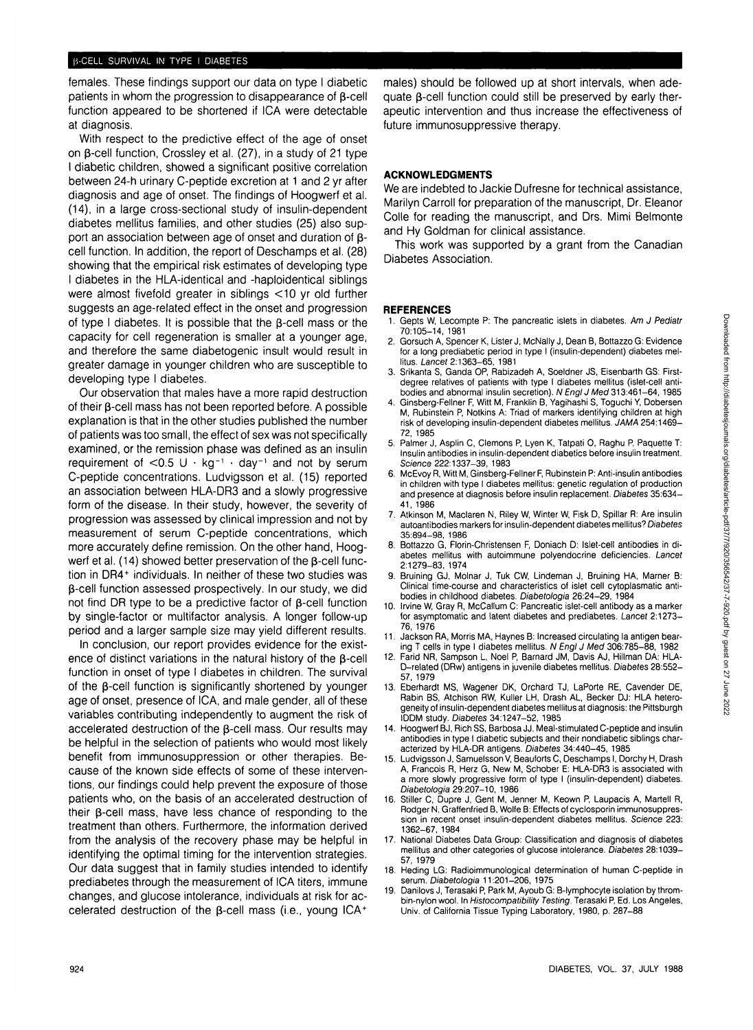## **B-CELL SURVIVAL IN TYPE I DIABETES**

females. These findings support our data on type I diabetic patients in whom the progression to disappearance of B-cell function appeared to be shortened if ICA were detectable at diagnosis.

With respect to the predictive effect of the age of onset on  $\beta$ -cell function, Crossley et al. (27), in a study of 21 type I diabetic children, showed a significant positive correlation between 24-h urinary C-peptide excretion at 1 and 2 yr after diagnosis and age of onset. The findings of Hoogwerf et al. (14), in a large cross-sectional study of insulin-dependent diabetes mellitus families, and other studies (25) also support an association between age of onset and duration of  $\beta$ cell function. In addition, the report of Deschamps et al. (28) showing that the empirical risk estimates of developing type I diabetes in the HLA-identical and -haploidentical siblings were almost fivefold greater in siblings <10 yr old further suggests an age-related effect in the onset and progression of type I diabetes. It is possible that the  $\beta$ -cell mass or the capacity for cell regeneration is smaller at a younger age, and therefore the same diabetogenic insult would result in greater damage in younger children who are susceptible to developing type I diabetes.

Our observation that males have a more rapid destruction of their  $\beta$ -cell mass has not been reported before. A possible explanation is that in the other studies published the number of patients was too small, the effect of sex was not specifically examined, or the remission phase was defined as an insulin requirement of  $<$ 0.5 U  $\cdot$  kg<sup>-1</sup>  $\cdot$  day<sup>-1</sup> and not by serum C-peptide concentrations. Ludvigsson et al. (15) reported an association between HLA-DR3 and a slowly progressive form of the disease. In their study, however, the severity of progression was assessed by clinical impression and not by measurement of serum C-peptide concentrations, which more accurately define remission. On the other hand, Hoogwerf et al. (14) showed better preservation of the  $\beta$ -cell function in DR4<sup>+</sup> individuals. In neither of these two studies was  $\beta$ -cell function assessed prospectively. In our study, we did not find DR type to be a predictive factor of  $\beta$ -cell function by single-factor or multifactor analysis. A longer follow-up period and a larger sample size may yield different results.

In conclusion, our report provides evidence for the existence of distinct variations in the natural history of the  $\beta$ -cell function in onset of type I diabetes in children. The survival of the  $\beta$ -cell function is significantly shortened by younger age of onset, presence of ICA, and male gender, all of these variables contributing independently to augment the risk of accelerated destruction of the  $\beta$ -cell mass. Our results may be helpful in the selection of patients who would most likely benefit from immunosuppression or other therapies. Because of the known side effects of some of these interventions, our findings could help prevent the exposure of those patients who, on the basis of an accelerated destruction of their  $\beta$ -cell mass, have less chance of responding to the treatment than others. Furthermore, the information derived from the analysis of the recovery phase may be helpful in identifying the optimal timing for the intervention strategies. Our data suggest that in family studies intended to identify prediabetes through the measurement of ICA titers, immune changes, and glucose intolerance, individuals at risk for accelerated destruction of the  $\beta$ -cell mass (i.e., young ICA+

males) should be followed up at short intervals, when adequate  $\beta$ -cell function could still be preserved by early therapeutic intervention and thus increase the effectiveness of future immunosuppressive therapy.

## **ACKNOWLEDGMENTS**

We are indebted to Jackie Dufresne for technical assistance, Marilyn Carroll for preparation of the manuscript, Dr. Eleanor Colle for reading the manuscript, and Drs. Mimi Belmonte and Hy Goldman for clinical assistance.

This work was supported by a grant from the Canadian Diabetes Association.

## **REFERENCES**

- 1. Gepts W, Lecompte P: The pancreatic islets in diabetes. Am J Pediatr 70:105-14, 1981
- 2. Gorsuch A, Spencer K, Lister J, McNally J, Dean B, Bottazzo G: Evidence for a long prediabetic period in type I (insulin-dependent) diabetes mellitus. Lancet 2:1363-65, 1981
- 3. Srikanta S, Ganda OP, Rabizadeh A, Soeldner JS, Eisenbarth GS: Firstdegree relatives of patients with type I diabetes mellitus (islet-cell antibodies and abnormal insulin secretion). N Engl J Med 313:461-64, 1985
- 4. Ginsberg-Fellner F, Witt M, Franklin B, Yagihashi S, Toguchi Y, Dobersen M, Rubinstein P, Notkins A: Triad of markers identifying children at high risk of developing insulin-dependent diabetes mellitus. JAMA 254:1469- 72,1985
- 5. Palmer J, Asplin C, Clemons P, Lyen K, Tatpati O, Raghu P, Paquette T: Insulin antibodies in insulin-dependent diabetics before insulin treatment. Science 222:1337-39, 1983
- 6. McEvoy R, Witt M, Ginsberg-Fellner F, Rubinstein P: Anti-insulin antibodies in children with type I diabetes mellitus: genetic regulation of production and presence at diagnosis before insulin replacement. Diabetes 35:634- 41, 1986
- 7. Atkinson M, Maclaren N, Riley W, Winter W, Fisk D, Spillar R: Are insulin autoantibodies markers for insulin-dependent diabetes mellitus? Diabetes 35:894-98, 1986
- 8. Bottazzo G, Florin-Christensen F, Doniach D: Islet-cell antibodies in diabetes mellitus with autoimmune polyendocrine deficiencies. Lancet 2:1279-83, 1974
- 9. Bruining GJ, Molnar J, Tuk CW, Lindeman J, Bruining HA, Marner B: Clinical time-course and characteristics of islet cell cytoplasmatic antibodies in childhood diabetes. Diabetologia 26:24-29, 1984
- 10. Irvine W, Gray R, McCallum C: Pancreatic islet-cell antibody as a marker for asymptomatic and latent diabetes and prediabetes. Lancet 2:1273- 76,1976
- 11. Jackson RA, Morris MA, Haynes B: Increased circulating la antigen bearing T cells in type I diabetes mellitus. N Engl J Med 306:785-88, 1982
- 12. Farid NR, Sampson L, Noel P, Barnard JM, Davis AJ, Hillman DA: HLA-D-related (DRw) antigens in juvenile diabetes mellitus. Diabetes 28:552- 57,1979
- 13. Eberhardt MS, Wagener DK, Orchard TJ, LaPorte RE, Cavender DE, Rabin BS, Atchison RW, Kuller LH, Drash AL, Becker DJ: HLA heterogeneity of insulin-dependent diabetes mellitus at diagnosis: the Pittsburgh IDDM study. Diabetes 34:1247-52, 1985
- 14. Hoogwerf BJ, Rich SS, Barbosa JJ. Meal-stimulated C-peptide and insulin antibodies in type I diabetic subjects and their nondiabetic siblings characterized by HLA-DR antigens. Diabetes 34:440-45, 1985
- 15. Ludvigsson J, Samuelsson V, Beauforts C, Deschamps I, Dorchy H, Drash A, Francois R, Herz G, New M, Schober E: HLA-DR3 is associated with a more slowly progressive form of type I (insulin-dependent) diabetes. Diabetologia 29:207-10, 1986
- 16. Stiller C, Dupre J, Gent M, Jenner M, Keown P, Laupacis A, Martell R, Rodger N, Graffenfried B, Wolfe B: Effects of cyclosporin immunosuppression in recent onset insulin-dependent diabetes mellitus. Science 223: 1362-67, 1984
- 17. National Diabetes Data Group: Classification and diagnosis of diabetes mellitus and other categories of glucose intolerance. Diabetes 28:1039- 57, 1979
- 18. Heding LG: Radioimmunological determination of human C-peptide in serum. Diabetologia 11:201-206, 1975
- 19. Danilovs J, Terasaki P, Park M, Ayoub G: B-lymphocyte isolation by thrombin-nylon wool. In Histocompatibility Testing. Terasaki P, Ed. Los Angeles, Univ. of California Tissue Typing Laboratory, 1980, p. 287-88